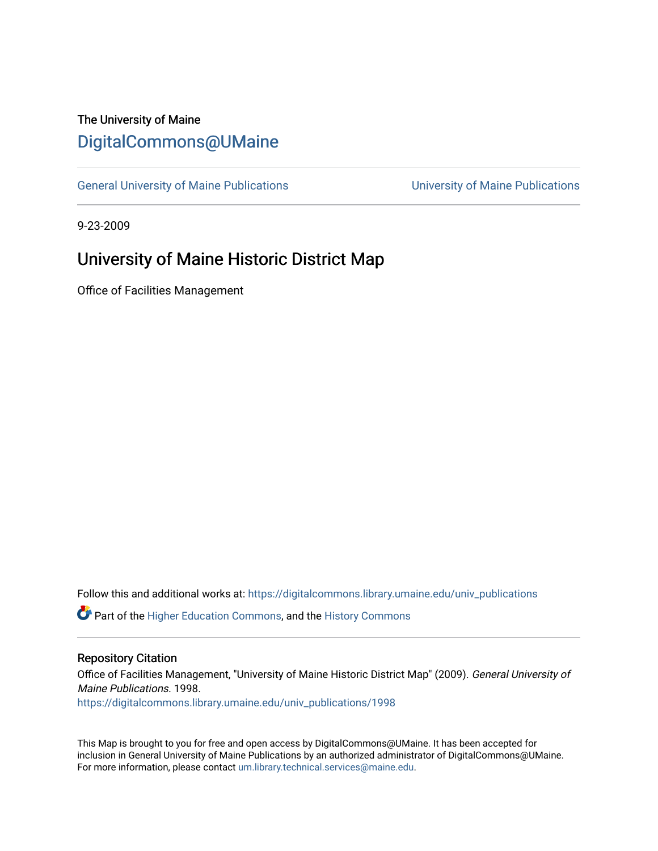## The University of Maine [DigitalCommons@UMaine](https://digitalcommons.library.umaine.edu/)

[General University of Maine Publications](https://digitalcommons.library.umaine.edu/univ_publications) [University of Maine Publications](https://digitalcommons.library.umaine.edu/umaine_publications) 

9-23-2009

## University of Maine Historic District Map

Office of Facilities Management

Follow this and additional works at: [https://digitalcommons.library.umaine.edu/univ\\_publications](https://digitalcommons.library.umaine.edu/univ_publications?utm_source=digitalcommons.library.umaine.edu%2Funiv_publications%2F1998&utm_medium=PDF&utm_campaign=PDFCoverPages) 

**C** Part of the [Higher Education Commons,](http://network.bepress.com/hgg/discipline/1245?utm_source=digitalcommons.library.umaine.edu%2Funiv_publications%2F1998&utm_medium=PDF&utm_campaign=PDFCoverPages) and the [History Commons](http://network.bepress.com/hgg/discipline/489?utm_source=digitalcommons.library.umaine.edu%2Funiv_publications%2F1998&utm_medium=PDF&utm_campaign=PDFCoverPages)

## Repository Citation

Office of Facilities Management, "University of Maine Historic District Map" (2009). General University of Maine Publications. 1998.

[https://digitalcommons.library.umaine.edu/univ\\_publications/1998](https://digitalcommons.library.umaine.edu/univ_publications/1998?utm_source=digitalcommons.library.umaine.edu%2Funiv_publications%2F1998&utm_medium=PDF&utm_campaign=PDFCoverPages)

This Map is brought to you for free and open access by DigitalCommons@UMaine. It has been accepted for inclusion in General University of Maine Publications by an authorized administrator of DigitalCommons@UMaine. For more information, please contact [um.library.technical.services@maine.edu](mailto:um.library.technical.services@maine.edu).